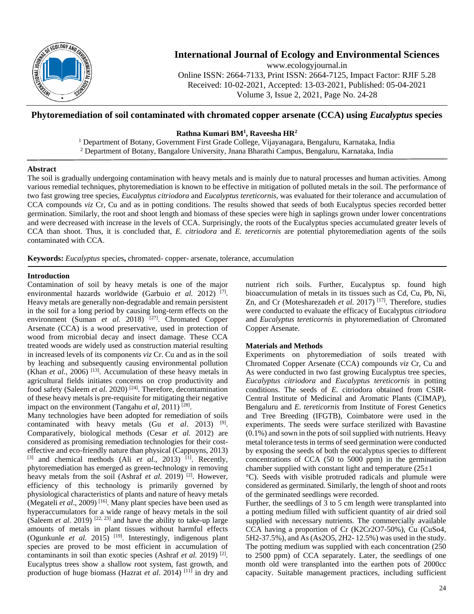

# **International Journal of Ecology and Environmental Sciences**

www.ecologyjournal.in Online ISSN: 2664-7133, Print ISSN: 2664-7125, Impact Factor: RJIF 5.28 Received: 10-02-2021, Accepted: 13-03-2021, Published: 05-04-2021 Volume 3, Issue 2, 2021, Page No. 24-28

## **Phytoremediation of soil contaminated with chromated copper arsenate (CCA) using** *Eucalyptus* **species**

## **Rathna Kumari BM1 , Raveesha HR2**

<sup>1</sup> Department of Botany, Government First Grade College, Vijayanagara, Bengaluru, Karnataka, India <sup>2</sup> Department of Botany, Bangalore University, Jnana Bharathi Campus, Bengaluru, Karnataka, India

### **Abstract**

The soil is gradually undergoing contamination with heavy metals and is mainly due to natural processes and human activities. Among various remedial techniques, phytoremediation is known to be effective in mitigation of polluted metals in the soil. The performance of two fast growing tree species, *Eucalyptus citriodora* and *Eucalyptus tereticornis*, was evaluated for their tolerance and accumulation of CCA compounds *viz* Cr, Cu and as in potting conditions. The results showed that seeds of both Eucalyptus species recorded better germination. Similarly, the root and shoot length and biomass of these species were high in saplings grown under lower concentrations and were decreased with increase in the levels of CCA. Surprisingly, the roots of the Eucalyptus species accumulated greater levels of CCA than shoot. Thus, it is concluded that, *E. citriodora* and *E. tereticornis* are potential phytoremediation agents of the soils contaminated with CCA.

**Keywords:** *Eucalyptus* species**,** chromated- copper- arsenate, tolerance, accumulation

### **Introduction**

Contamination of soil by heavy metals is one of the major environmental hazards worldwide (Garbuio et al. 2012)<sup>[7]</sup>. Heavy metals are generally non-degradable and remain persistent in the soil for a long period by causing long-term effects on the environment (Suman *et al.* 2018)<sup>[27]</sup>. Chromated Copper Arsenate (CCA) is a wood preservative, used in protection of wood from microbial decay and insect damage. These CCA treated woods are widely used as construction material resulting in increased levels of its components *viz* Cr. Cu and as in the soil by leaching and subsequently causing environmental pollution (Khan *et al.*, 2006)<sup>[13]</sup>. Accumulation of these heavy metals in agricultural fields initiates concerns on crop productivity and food safety (Saleem *et al*. 2020) [24] . Therefore, decontamination of these heavy metals is pre-requisite for mitigating their negative impact on the environment (Tangahu et al, 2011)<sup>[28]</sup>.

Many technologies have been adopted for remediation of soils contaminated with heavy metals (Gu *et al*. 2013) [9] . Comparatively, biological methods (Cesar *et al.* 2012) are considered as promising remediation technologies for their costeffective and eco-friendly nature than physical (Cappuyns, 2013) [3] and chemical methods (Ali *et al.*, 2013)<sup>[1]</sup>. Recently, phytoremediation has emerged as green-technology in removing heavy metals from the soil (Ashraf *et al.* 2019)<sup>[2]</sup>. However, efficiency of this technology is primarily governed by physiological characteristics of plants and nature of heavy metals (Megateli *et al.*, 2009)<sup>[16]</sup>. Many plant species have been used as hyperaccumulators for a wide range of heavy metals in the soil (Saleem *et al.* 2019)<sup> $[22, 23]$ </sup> and have the ability to take-up large amounts of metals in plant tissues without harmful effects (Ogunkunle *et al.* 2015)<sup>[19]</sup>. Interestingly, indigenous plant species are proved to be most efficient in accumulation of contaminants in soil than exotic species (Ashraf *et al.* 2019)<sup>[2]</sup>. Eucalyptus trees show a shallow root system, fast growth, and production of huge biomass (Hazrat *et al*. 2014) [11] in dry and

nutrient rich soils. Further, Eucalyptus sp. found high bioaccumulation of metals in its tissues such as Cd, Cu, Pb, Ni, Zn, and Cr (Motesharezadeh *et al.* 2017)<sup>[17]</sup>. Therefore, studies were conducted to evaluate the efficacy of Eucalyptus *citriodora*  and *Eucalyptus tereticornis* in phytoremediation of Chromated Copper Arsenate.

## **Materials and Methods**

Experiments on phytoremediation of soils treated with Chromated Copper Arsenate (CCA) compounds *viz* Cr, Cu and As were conducted in two fast growing Eucalyptus tree species, *Eucalyptus citriodora* and *Eucalyptus tereticornis* in potting conditions. The seeds of *E.* citriodora obtained from CSIR-Central Institute of Medicinal and Aromatic Plants (CIMAP), Bengaluru and *E. tereticornis* from Institute of Forest Genetics and Tree Breeding (IFGTB), Coimbatore were used in the experiments. The seeds were surface sterilized with Bavastine (0.1%) and sown in the pots of soil supplied with nutrients. Heavy metal tolerance tests in terms of seed germination were conducted by exposing the seeds of both the eucalyptus species to different concentrations of CCA (50 to 5000 ppm) in the germination chamber supplied with constant light and temperature  $(25\pm 1)$ 

°C). Seeds with visible protruded radicals and plumule were considered as germinated. Similarly, the length of shoot and roots of the germinated seedlings were recorded.

Further, the seedlings of 3 to 5 cm length were transplanted into a potting medium filled with sufficient quantity of air dried soil supplied with necessary nutrients. The commercially available CCA having a proportion of Cr (K2Cr2O7-50%), Cu (CuSo4, 5H2-37.5%), and As (As2O5, 2H2- 12.5%) was used in the study. The potting medium was supplied with each concentration (250 to 2500 ppm) of CCA separately. Later, the seedlings of one month old were transplanted into the earthen pots of 2000cc capacity. Suitable management practices, including sufficient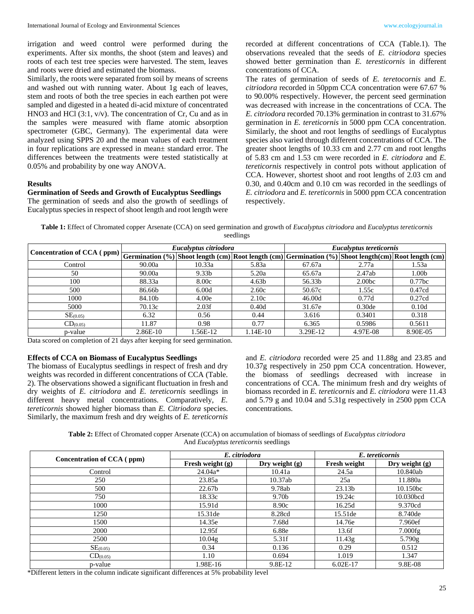irrigation and weed control were performed during the experiments. After six months, the shoot (stem and leaves) and roots of each test tree species were harvested. The stem, leaves and roots were dried and estimated the biomass.

Similarly, the roots were separated from soil by means of screens and washed out with running water. About 1g each of leaves, stem and roots of both the tree species in each earthen pot were sampled and digested in a heated di-acid mixture of concentrated HNO3 and HCl (3:1, v/v). The concentration of Cr, Cu and as in the samples were measured with flame atomic absorption spectrometer (GBC, Germany). The experimental data were analyzed using SPPS 20 and the mean values of each treatment in four replications are expressed in mean± standard error. The differences between the treatments were tested statistically at 0.05% and probability by one way ANOVA.

#### **Results**

#### **Germination of Seeds and Growth of Eucalyptus Seedlings**

The germination of seeds and also the growth of seedlings of Eucalyptus species in respect of shoot length and root length were recorded at different concentrations of CCA (Table.1). The observations revealed that the seeds of *E. citriodora* species showed better germination than *E. teresticornis* in different concentrations of CCA.

The rates of germination of seeds of *E. teretocornis* and *E. citriodora* recorded in 50ppm CCA concentration were 67.67 % to 90.00% respectively. However, the percent seed germination was decreased with increase in the concentrations of CCA. The *E. citriodora* recorded 70.13% germination in contrast to 31.67% germination in *E. tereticornis* in 5000 ppm CCA concentration. Similarly, the shoot and root lengths of seedlings of Eucalyptus species also varied through different concentrations of CCA. The greater shoot lengths of 10.33 cm and 2.77 cm and root lengths of 5.83 cm and 1.53 cm were recorded in *E. citriodora* and *E. tereticornis* respectively in control pots without application of CCA. However, shortest shoot and root lengths of 2.03 cm and 0.30, and 0.40cm and 0.10 cm was recorded in the seedlings of *E. citriodora* and *E. tereticornis* in 5000 ppm CCA concentration respectively.

**Table 1:** Effect of Chromated copper Arsenate (CCA) on seed germination and growth of *Eucalyptus citriodora* and *Eucalyptus tereticornis* seedlings

| $\fbox{Concentration of CCA (ppm)} \fbox{Germanation (%)} \fbox{Sfoot length (cm) Root length (cm) Germanation (%)} \fbox{Sfoot length (cm) } \fbox{Stoot length (cm) Root length (cm) }$ |          | Eucalyptus citriodora |                   | Eucalyptus tereticornis |                    |                    |  |
|-------------------------------------------------------------------------------------------------------------------------------------------------------------------------------------------|----------|-----------------------|-------------------|-------------------------|--------------------|--------------------|--|
|                                                                                                                                                                                           |          |                       |                   |                         |                    |                    |  |
| Control                                                                                                                                                                                   | 90.00a   | 10.33a                | 5.83a             | 67.67a                  | 2.77a              | 1.53a              |  |
| 50                                                                                                                                                                                        | 90.00a   | 9.33 <sub>b</sub>     | 5.20a             | 65.67a                  | 2.47ab             | 1.00 <sub>b</sub>  |  |
| 100                                                                                                                                                                                       | 88.33a   | 8.00c                 | 4.63 <sub>b</sub> | 56.33b                  | 2.00 <sub>bc</sub> | 0.77 <sub>bc</sub> |  |
| 500                                                                                                                                                                                       | 86.66b   | 6.00d                 | 2.60c             | 50.67c                  | 1.55c              | 0.47cd             |  |
| 1000                                                                                                                                                                                      | 84.10b   | 4.00e                 | 2.10c             | 46.00d                  | 0.77d              | 0.27cd             |  |
| 5000                                                                                                                                                                                      | 70.13c   | 2.03f                 | 0.40d             | 31.67e                  | 0.30 <sub>de</sub> | 0.10d              |  |
| $SE_{(0.05)}$                                                                                                                                                                             | 6.32     | 0.56                  | 0.44              | 3.616                   | 0.3401             | 0.318              |  |
| CD <sub>(0.05)</sub>                                                                                                                                                                      | 11.87    | 0.98                  | 0.77              | 6.365                   | 0.5986             | 0.5611             |  |
| p-value                                                                                                                                                                                   | 2.86E-10 | l.56E-12              | $1.14E-10$        | 3.29E-12                | 4.97E-08           | 8.90E-05           |  |

Data scored on completion of 21 days after keeping for seed germination.

#### **Effects of CCA on Biomass of Eucalyptus Seedlings**

The biomass of Eucalyptus seedlings in respect of fresh and dry weights was recorded in different concentrations of CCA (Table. 2). The observations showed a significant fluctuation in fresh and dry weights of *E. citriodora* and *E. tereticornis* seedlings in different heavy metal concentrations. Comparatively, *E. tereticornis* showed higher biomass than *E. Citriodora* species. Similarly, the maximum fresh and dry weights of *E. tereticornis*  and *E. citriodora* recorded were 25 and 11.88g and 23.85 and 10.37g respectively in 250 ppm CCA concentration. However, the biomass of seedlings decreased with increase in concentrations of CCA. The minimum fresh and dry weights of biomass recorded in *E. tereticornis* and *E. citriodora* were 11.43 and 5.79 g and 10.04 and 5.31g respectively in 2500 ppm CCA concentrations.

| Table 2: Effect of Chromated copper Arsenate (CCA) on accumulation of biomass of seedlings of Eucalyptus citriodora |  |
|---------------------------------------------------------------------------------------------------------------------|--|
| And <i>Eucalyptus tereticornis</i> seedlings                                                                        |  |

|                            | E. citriodora      |                   | E. tereticornis     |                  |  |
|----------------------------|--------------------|-------------------|---------------------|------------------|--|
| Concentration of CCA (ppm) | Fresh weight $(g)$ | Dry weight $(g)$  | <b>Fresh weight</b> | Dry weight $(g)$ |  |
| Control                    | $24.04a*$          | 10.41a            | 24.5a               | 10.840ab         |  |
| 250                        | 23.85a             | 10.37ab           | 25a                 | 11.880a          |  |
| 500                        | 22.67b             | 9.78ab            | 23.13 <sub>b</sub>  | 10.150bc         |  |
| 750                        | 18.33c             | 9.70 <sub>b</sub> | 19.24c              | 10.030bcd        |  |
| 1000                       | 15.91d             | 8.90c             | 16.25d              | 9.370cd          |  |
| 1250                       | 15.31de            | 8.28cd            | 15.51de             | 8.740de          |  |
| 1500                       | 14.35e             | 7.68d             | 14.76e              | 7.960ef          |  |
| 2000                       | 12.95f             | 6.88e             | 13.6f               | 7.000fg          |  |
| 2500                       | 10.04 <sub>g</sub> | 5.31f             | 11.43g              | 5.790g           |  |
| SE <sub>(0.05)</sub>       | 0.34               | 0.136             | 0.29                | 0.512            |  |
| CD <sub>(0.05)</sub>       | 1.10               | 0.694             | 1.019               | 1.347            |  |
| p-value                    | 1.98E-16           | 9.8E-12           | $6.02E-17$          | 9.8E-08          |  |

\*Different letters in the column indicate significant differences at 5% probability level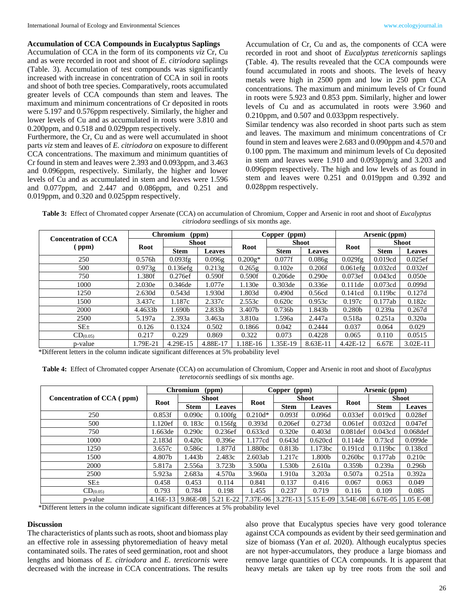**Accumulation of CCA Compounds in Eucalyptus Saplings** Accumulation of CCA in the form of its components *viz* Cr, Cu and as were recorded in root and shoot of *E*. *citriodora* saplings (Table. 3). Accumulation of test compounds was significantly increased with increase in concentration of CCA in soil in roots and shoot of both tree species. Comparatively, roots accumulated greater levels of CCA compounds than stem and leaves. The maximum and minimum concentrations of Cr deposited in roots were 5.197 and 0.576ppm respectively. Similarly, the higher and lower levels of Cu and as accumulated in roots were 3.810 and 0.200ppm, and 0.518 and 0.029ppm respectively.

Furthermore, the Cr, Cu and as were well accumulated in shoot parts *viz* stem and leaves of *E. citriodora* on exposure to different CCA concentrations. The maximum and minimum quantities of Cr found in stem and leaves were 2.393 and 0.093ppm, and 3.463 and 0.096ppm, respectively. Similarly, the higher and lower levels of Cu and as accumulated in stem and leaves were 1.596 and 0.077ppm, and 2.447 and 0.086ppm, and 0.251 and 0.019ppm, and 0.320 and 0.025ppm respectively.

Accumulation of Cr, Cu and as, the components of CCA were recorded in root and shoot of *Eucalyptus tereticornis* saplings (Table. 4). The results revealed that the CCA compounds were found accumulated in roots and shoots. The levels of heavy metals were high in 2500 ppm and low in 250 ppm CCA concentrations. The maximum and minimum levels of Cr found in roots were 5.923 and 0.853 ppm. Similarly, higher and lower levels of Cu and as accumulated in roots were 3.960 and 0.210ppm, and 0.507 and 0.033ppm respectively.

Similar tendency was also recorded in shoot parts such as stem and leaves. The maximum and minimum concentrations of Cr found in stem and leaves were 2.683 and 0.090ppm and 4.570 and 0.100 ppm. The maximum and minimum levels of Cu deposited in stem and leaves were 1.910 and 0.093ppm/g and 3.203 and 0.096ppm respectively. The high and low levels of as found in stem and leaves were 0.251 and 0.019ppm and 0.392 and 0.028ppm respectively.

**Table 3:** Effect of Chromated copper Arsenate (CCA) on accumulation of Chromium, Copper and Arsenic in root and shoot of *Eucalyptus citriodora* seedlings of six months age.

| <b>Concentration of CCA</b><br>$\left($ ppm $\right)$ | <b>Chromium</b><br>(ppm) |              |               | Copper<br>(ppm) |                    |               | Arsenic (ppm)      |              |               |
|-------------------------------------------------------|--------------------------|--------------|---------------|-----------------|--------------------|---------------|--------------------|--------------|---------------|
|                                                       | <b>Root</b>              | <b>Shoot</b> |               | Root            | <b>Shoot</b>       |               |                    | <b>Shoot</b> |               |
|                                                       |                          | <b>Stem</b>  | <b>Leaves</b> |                 | <b>Stem</b>        | <b>Leaves</b> | <b>Root</b>        | <b>Stem</b>  | <b>Leaves</b> |
| 250                                                   | 0.576h                   | 0.093fg      | 0.096g        | $0.200g*$       | 0.077f             | 0.086g        | 0.029fg            | 0.019cd      | 0.025ef       |
| 500                                                   | 0.973g                   | $0.136$ efg  | 0.213g        | 0.265g          | 0.102e             | 0.206f        | $0.061$ efg        | 0.032cd      | 0.032ef       |
| 750                                                   | 1.380f                   | 0.276ef      | 0.590f        | 0.590f          | 0.206de            | 0.290e        | 0.073ef            | 0.043cd      | 0.050e        |
| 1000                                                  | 2.030e                   | 0.346de      | 1.077e        | 1.130e          | $0.303$ de         | 0.336e        | $0.111$ de         | 0.073cd      | 0.099d        |
| 1250                                                  | 2.630d                   | 0.543d       | 1.930d        | 1.803d          | 0.490d             | 0.56cd        | 0.141cd            | 0.119bc      | 0.127d        |
| 1500                                                  | 3.437c                   | 1.187c       | 2.337c        | 2.553c          | 0.620c             | 0.953c        | 0.197c             | 0.177ab      | 0.182c        |
| 2000                                                  | 4.4633b                  | 1.690b       | 2.833b        | 3.407b          | 0.736 <sub>b</sub> | 1.843b        | 0.280 <sub>b</sub> | 0.239a       | 0.267d        |
| 2500                                                  | 5.197a                   | 2.393a       | 3.463a        | 3.810a          | 1.596a             | 2.447a        | 0.518a             | 0.251a       | 0.320a        |
| $SE_{\pm}$                                            | 0.126                    | 0.1324       | 0.502         | 0.1866          | 0.042              | 0.2444        | 0.037              | 0.064        | 0.029         |
| CD <sub>(0.05)</sub>                                  | 0.217                    | 0.229        | 0.869         | 0.322           | 0.073              | 0.4228        | 0.065              | 0.110        | 0.0515        |
| p-value                                               | 1.79E-21                 | 4.29E-15     | 4.88E-17      | 1.18E-16        | 1.35E-19           | 8.63E-11      | 4.42E-12           | 6.67E        | $3.02E-11$    |

\*Different letters in the column indicate significant differences at 5% probability level

**Table 4:** Effect of Chromated copper Arsenate (CCA) on accumulation of Chromium, Copper and Arsenic in root and shoot of *Eucalyptus teretocornis* seedlings of six months age.

|                            | <b>Chromium</b><br>(ppm) |              |                    | Copper<br>(ppm) |              |               | Arsenic (ppm)       |              |                    |
|----------------------------|--------------------------|--------------|--------------------|-----------------|--------------|---------------|---------------------|--------------|--------------------|
| Concentration of CCA (ppm) | Root                     | <b>Shoot</b> |                    | Root            | <b>Shoot</b> |               | Root                | <b>Shoot</b> |                    |
|                            |                          | <b>Stem</b>  | <b>Leaves</b>      |                 | <b>Stem</b>  | <b>Leaves</b> |                     | <b>Stem</b>  | <b>Leaves</b>      |
| 250                        | 0.853f                   | 0.090c       | 0.100fg            | $0.210d*$       | 0.093f       | 0.096d        | 0.033ef             | 0.019cd      | 0.028ef            |
| 500                        | 1.120ef                  | 0.183c       | 0.156fg            | 0.393d          | 0.206ef      | 0.273d        | 0.061ef             | 0.032cd      | 0.047ef            |
| 750                        | 1.663de                  | 0.290c       | 0.236ef            | 0.633cd         | 0.320e       | 0.403d        | $0.081$ def         | 0.043cd      | $0.068$ def        |
| 1000                       | 2.183d                   | 0.420c       | 0.396e             | 1.177cd         | 0.643d       | 0.620cd       | 0.114de             | 0.73cd       | $0.099$ de         |
| 1250                       | 3.657c                   | 0.586c       | 1.877d             | 1.880bc         | 0.813b       | 1.173bc       | 0.191cd             | 0.119bc      | 0.138cd            |
| 1500                       | 4.807b                   | 1.443b       | 2.483c             | 2.603ab         | 1.217c       | 1.800b        | 0.260 <sub>bc</sub> | 0.177ab      | 0.210c             |
| 2000                       | 5.817a                   | 2.556a       | 3.723 <sub>b</sub> | 3.500a          | 1.530b       | 2.610a        | 0.359 <sub>b</sub>  | 0.239a       | 0.296 <sub>b</sub> |
| 2500                       | 5.923a                   | 2.683a       | 4.570a             | 3.960a          | 1.910a       | 3.203a        | 0.507a              | 0.251a       | 0.392a             |
| $SE_{\pm}$                 | 0.458                    | 0.453        | 0.114              | 0.841           | 0.137        | 0.416         | 0.067               | 0.063        | 0.049              |
| CD <sub>(0.05)</sub>       | 0.793                    | 0.784        | 0.198              | 1.455           | 0.237        | 0.719         | 0.116               | 0.109        | 0.085              |
| p-value                    | $4.16E-13$               | 9.86E-08     | 5.21 E-22          | 7.37E-06        | 3.27E-13     | 5.15 E-09     | 3.54E-08            | 6.67E-05     | $1.05 E-08$        |

\*Different letters in the column indicate significant differences at 5% probability level

#### **Discussion**

The characteristics of plants such as roots, shoot and biomass play an effective role in assessing phytoremediation of heavy metal contaminated soils. The rates of seed germination, root and shoot lengths and biomass of *E. citriodora* and *E. tereticornis* were decreased with the increase in CCA concentrations. The results

also prove that Eucalyptus species have very good tolerance against CCA compounds as evident by their seed germination and size of biomass (Yan *et al.* 2020). Although eucalyptus species are not hyper-accumulators, they produce a large biomass and remove large quantities of CCA compounds. It is apparent that heavy metals are taken up by tree roots from the soil and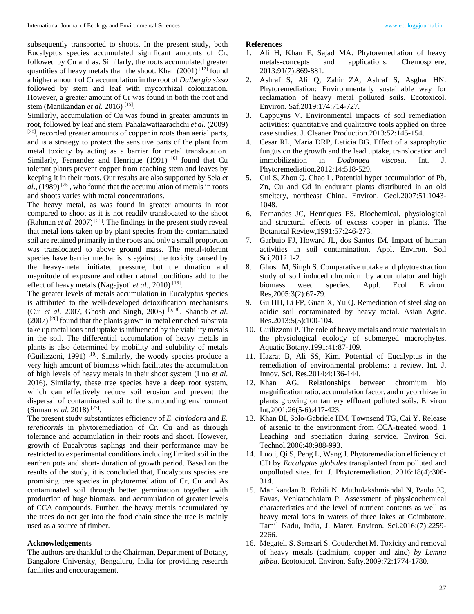subsequently transported to shoots. In the present study, both Eucalyptus species accumulated significant amounts of Cr, followed by Cu and as. Similarly, the roots accumulated greater quantities of heavy metals than the shoot. Khan  $(2001)$ <sup>[12]</sup> found a higher amount of Cr accumulation in the root of *Dalbergia sisso*  followed by stem and leaf with mycorrhizal colonization. However, a greater amount of Cr was found in both the root and stem (Manikandan *et al.* 2016) [15] .

Similarly, accumulation of Cu was found in greater amounts in root, followed by leaf and stem. Pahalawattaarachchi *et al.* (2009) [20], recorded greater amounts of copper in roots than aerial parts, and is a strategy to protect the sensitive parts of the plant from metal toxicity by acting as a barrier for metal translocation. Similarly, Fernandez and Henrique (1991) <sup>[6]</sup> found that Cu tolerant plants prevent copper from reaching stem and leaves by keeping it in their roots. Our results are also supported by Sela *et*  al., (1989)<sup>[25]</sup>, who found that the accumulation of metals in roots and shoots varies with metal concentrations.

The heavy metal, as was found in greater amounts in root compared to shoot as it is not readily translocated to the shoot (Rahman *et al.* 2007)<sup>[21]</sup>. The findings in the present study reveal that metal ions taken up by plant species from the contaminated soil are retained primarily in the roots and only a small proportion was translocated to above ground mass. The metal-tolerant species have barrier mechanisms against the toxicity caused by the heavy-metal initiated pressure, but the duration and magnitude of exposure and other natural conditions add to the effect of heavy metals (Nagajyoti et al., 2010)<sup>[18]</sup>.

The greater levels of metals accumulation in Eucalyptus species is attributed to the well-developed detoxification mechanisms (Cui *et al*. 2007, Ghosh and Singh, 2005) [5, 8]. Shanab *et al*. (2007) [26] found that the plants grown in metal enriched substrata take up metal ions and uptake is influenced by the viability metals in the soil. The differential accumulation of heavy metals in plants is also determined by mobility and solubility of metals (Guilizzoni, 1991)  $[10]$ . Similarly, the woody species produce a very high amount of biomass which facilitates the accumulation of high levels of heavy metals in their shoot system (Luo *et al*. 2016). Similarly, these tree species have a deep root system, which can effectively reduce soil erosion and prevent the dispersal of contaminated soil to the surrounding environment (Suman *et al*. 2018) [27].

The present study substantiates efficiency of *E. citriodora* and *E. tereticornis* in phytoremediation of Cr. Cu and as through tolerance and accumulation in their roots and shoot. However, growth of Eucalyptus saplings and their performance may be restricted to experimental conditions including limited soil in the earthen pots and short- duration of growth period. Based on the results of the study, it is concluded that, Eucalyptus species are promising tree species in phytoremediation of Cr, Cu and As contaminated soil through better germination together with production of huge biomass, and accumulation of greater levels of CCA compounds. Further, the heavy metals accumulated by the trees do not get into the food chain since the tree is mainly used as a source of timber.

#### **Acknowledgements**

The authors are thankful to the Chairman, Department of Botany, Bangalore University, Bengaluru, India for providing research facilities and encouragement.

#### **References**

- 1. Ali H, Khan F, Sajad MA. Phytoremediation of heavy metals-concepts and applications. Chemosphere, 2013:91(7):869-881.
- 2. Ashraf S, Ali Q, Zahir ZA, Ashraf S, Asghar HN. Phytoremediation: Environmentally sustainable way for reclamation of heavy metal polluted soils. Ecotoxicol. Environ. Saf,2019:174:714-727.
- 3. Cappuyns V. Environmental impacts of soil remediation activities: quantitative and qualitative tools applied on three case studies. J. Cleaner Production.2013:52:145-154.
- 4. Cesar RL, Maria DRP, Leticia BG. Effect of a saprophytic fungus on the growth and the lead uptake, translocation and immobilization in *Dodonaea viscosa*. Int. J. Phytoremediation,2012:14:518-529.
- 5. Cui S, Zhou Q, Chao L. Potential hyper accumulation of Pb, Zn, Cu and Cd in endurant plants distributed in an old smeltery, northeast China. Environ. Geol.2007:51:1043- 1048.
- 6. Fernandes JC, Henriques FS. Biochemical, physiological and structural effects of excess copper in plants. The Botanical Review,1991:57:246-273.
- 7. Garbuio FJ, Howard JL, dos Santos IM. Impact of human activities in soil contamination. Appl. Environ. Soil Sci,2012:1-2.
- 8. Ghosh M, Singh S. Comparative uptake and phytoextraction study of soil induced chromium by accumulator and high biomass weed species. Appl. Ecol Environ. Res,2005:3(2):67-79.
- 9. Gu HH, Li FP, Guan X, Yu Q. Remediation of steel slag on acidic soil contaminated by heavy metal. Asian Agric. Res.2013:5(5):100-104.
- 10. Guilizzoni P. The role of heavy metals and toxic materials in the physiological ecology of submerged macrophytes. Aquatic Botany,1991:41:87-109.
- 11. Hazrat B, Ali SS, Kim. Potential of Eucalyptus in the remediation of environmental problems: a review. Int. J. Innov. Sci. Res.2014:4:136-144.
- 12. Khan AG. Relationships between chromium bio magnification ratio, accumulation factor, and mycorrhizae in plants growing on tannery effluent polluted soils. Environ Int,2001:26(5-6):417-423.
- 13. Khan BI, Solo-Gabriele HM, Townsend TG, Cai Y. Release of arsenic to the environment from CCA-treated wood. 1 Leaching and speciation during service. Environ Sci. Technol.2006:40:988-993.
- 14. Luo j, Qi S, Peng L, Wang J. Phytoremediation efficiency of CD by *Eucalyptus globules* transplanted from polluted and unpolluted sites. Int. J. Phytoremediation. 2016:18(4):306- 314.
- 15. Manikandan R. Ezhili N. Muthulakshmiandal N, Paulo JC, Favas, Venkatachalam P. Assessment of physicochemical characteristics and the level of nutrient contents as well as heavy metal ions in waters of three lakes at Coimbatore, Tamil Nadu, India, J. Mater. Environ. Sci.2016:(7):2259- 2266.
- 16. Megateli S. Semsari S. Couderchet M. Toxicity and removal of heavy metals (cadmium, copper and zinc) *by Lemna gibba*. Ecotoxicol. Environ. Safty.2009:72:1774-1780.